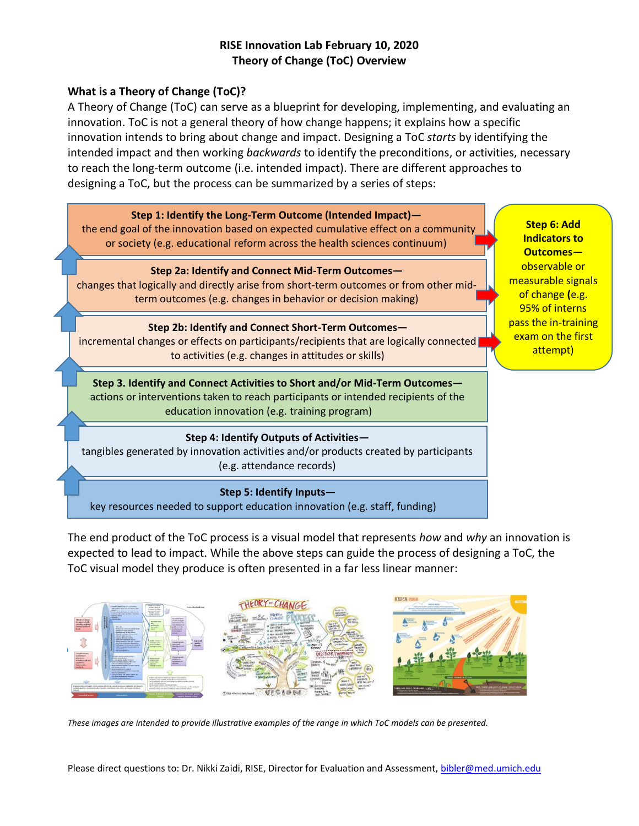# **RISE Innovation Lab February 10, 2020 Theory of Change (ToC) Overview**

## **What is a Theory of Change (ToC)?**

A Theory of Change (ToC) can serve as a blueprint for developing, implementing, and evaluating an innovation. ToC is not a general theory of how change happens; it explains how a specific innovation intends to bring about change and impact. Designing a ToC *starts* by identifying the intended impact and then working *backwards* to identify the preconditions, or activities, necessary to reach the long-term outcome (i.e. intended impact). There are different approaches to designing a ToC, but the process can be summarized by a series of steps:



The end product of the ToC process is a visual model that represents *how* and *why* an innovation is expected to lead to impact. While the above steps can guide the process of designing a ToC, the ToC visual model they produce is often presented in a far less linear manner:



*These images are intended to provide illustrative examples of the range in which ToC models can be presented.* 

Please direct questions to: Dr. Nikki Zaidi, RISE, Director for Evaluation and Assessment[, bibler@med.umich.edu](mailto:bibler@med.umich.edu)